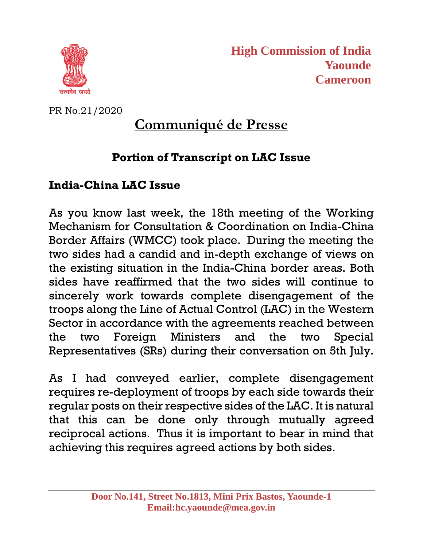

**High Commission of India Yaounde Cameroon**

PR No.21/2020

## **Communiqué de Presse**

## **Portion of Transcript on LAC Issue**

## **India-China LAC Issue**

As you know last week, the 18th meeting of the Working Mechanism for Consultation & Coordination on India-China Border Affairs (WMCC) took place. During the meeting the two sides had a candid and in-depth exchange of views on the existing situation in the India-China border areas. Both sides have reaffirmed that the two sides will continue to sincerely work towards complete disengagement of the troops along the Line of Actual Control (LAC) in the Western Sector in accordance with the agreements reached between the two Foreign Ministers and the two Special Representatives (SRs) during their conversation on 5th July.

As I had conveyed earlier, complete disengagement requires re-deployment of troops by each side towards their regular posts on their respective sides of the LAC. It is natural that this can be done only through mutually agreed reciprocal actions. Thus it is important to bear in mind that achieving this requires agreed actions by both sides.